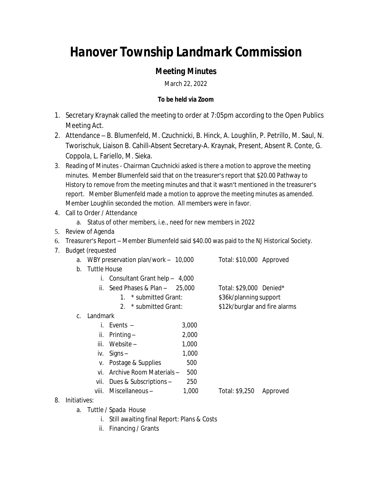## *Hanover Township Landmark Commission*

## *Meeting Minutes*

March 22, 2022

## **To be held via Zoom**

- 1. Secretary Kraynak called the meeting to order at 7:05pm according to the Open Publics Meeting Act.
- 2. Attendance B. Blumenfeld, M. Czuchnicki, B. Hinck, A. Loughlin, P. Petrillo, M. Saul, N. Tworischuk, Liaison B. Cahill-Absent Secretary-A. Kraynak, Present, Absent R. Conte, G. Coppola, L. Fariello, M. Sieka.
- 3. Reading of Minutes Chairman Czuchnicki asked is there a motion to approve the meeting minutes. Member Blumenfeld said that on the treasurer's report that \$20.00 Pathway to History to remove from the meeting minutes and that it wasn't mentioned in the treasurer's report. Member Blumenfeld made a motion to approve the meeting minutes as amended. Member Loughlin seconded the motion. All members were in favor.
- 4. Call to Order / Attendance
	- a. Status of other members, i.e., need for new members in 2022
- 5. Review of Agenda
- 6. Treasurer's Report Member Blumenfeld said \$40.00 was paid to the NJ Historical Society.
- 7. Budget (requested

| a. WBY preservation plan/work - 10,000 | Total: \$10,000 Approved |  |
|----------------------------------------|--------------------------|--|
| b. Tuttle House                        |                          |  |

- i. Consultant Grant help 4,000
	- ii. Seed Phases & Plan  $25,000$  Total: \$29,000 Denied\* 1. \* submitted Grant: \$36k/planning support
		- 2. \* submitted Grant: \$12k/burglar and fire alarms
- c. Landmark

| Ĺ.    | Events $-$               | 3,000 |                |          |
|-------|--------------------------|-------|----------------|----------|
| İİ.   | Printing $-$             | 2,000 |                |          |
| iii.  | Website $-$              | 1,000 |                |          |
| İV.   | $Signs -$                | 1,000 |                |          |
| V.    | Postage & Supplies       | 500   |                |          |
| vi.   | Archive Room Materials - | 500   |                |          |
| vii.  | Dues & Subscriptions -   | 250   |                |          |
| viii. | Miscellaneous-           | 1,000 | Total: \$9,250 | Approved |

- 8. Initiatives:
	- a. Tuttle / Spada House
		- i. Still awaiting final Report: Plans & Costs
		- ii. Financing / Grants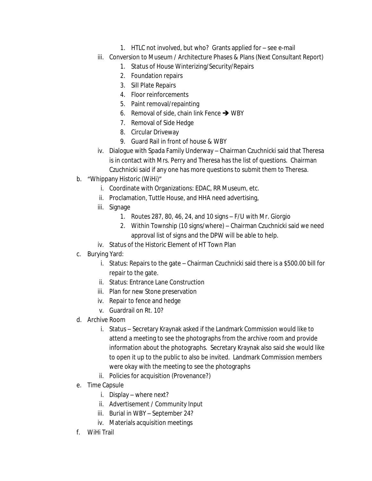- 1. HTLC not involved, but who? Grants applied for see e-mail
- iii. Conversion to Museum / Architecture Phases & Plans (Next Consultant Report)
	- 1. Status of House Winterizing/Security/Repairs
	- 2. Foundation repairs
	- 3. Sill Plate Repairs
	- 4. Floor reinforcements
	- 5. Paint removal/repainting
	- 6. Removal of side, chain link Fence  $\rightarrow$  WBY
	- 7. Removal of Side Hedge
	- 8. Circular Driveway
	- 9. Guard Rail in front of house & WBY
- iv. Dialogue with Spada Family Underway Chairman Czuchnicki said that Theresa is in contact with Mrs. Perry and Theresa has the list of questions. Chairman Czuchnicki said if any one has more questions to submit them to Theresa.
- b. "Whippany Historic (WiHi)"
	- i. Coordinate with Organizations: EDAC, RR Museum, etc.
	- ii. Proclamation, Tuttle House, and HHA need advertising,
	- iii. Signage
		- 1. Routes 287, 80, 46, 24, and 10 signs F/U with Mr. Giorgio
		- 2. Within Township (10 signs/where) Chairman Czuchnicki said we need approval list of signs and the DPW will be able to help.
	- iv. Status of the Historic Element of HT Town Plan
- c. Burying Yard:
	- i. Status: Repairs to the gate Chairman Czuchnicki said there is a \$500.00 bill for repair to the gate.
	- ii. Status: Entrance Lane Construction
	- iii. Plan for new Stone preservation
	- iv. Repair to fence and hedge
	- v. Guardrail on Rt. 10?
- d. Archive Room
	- i. Status Secretary Kraynak asked if the Landmark Commission would like to attend a meeting to see the photographs from the archive room and provide information about the photographs. Secretary Kraynak also said she would like to open it up to the public to also be invited. Landmark Commission members were okay with the meeting to see the photographs
	- ii. Policies for acquisition (Provenance?)
- e. Time Capsule
	- i. Display where next?
	- ii. Advertisement / Community Input
	- iii. Burial in WBY September 24?
	- iv. Materials acquisition meetings
- f. WiHi Trail